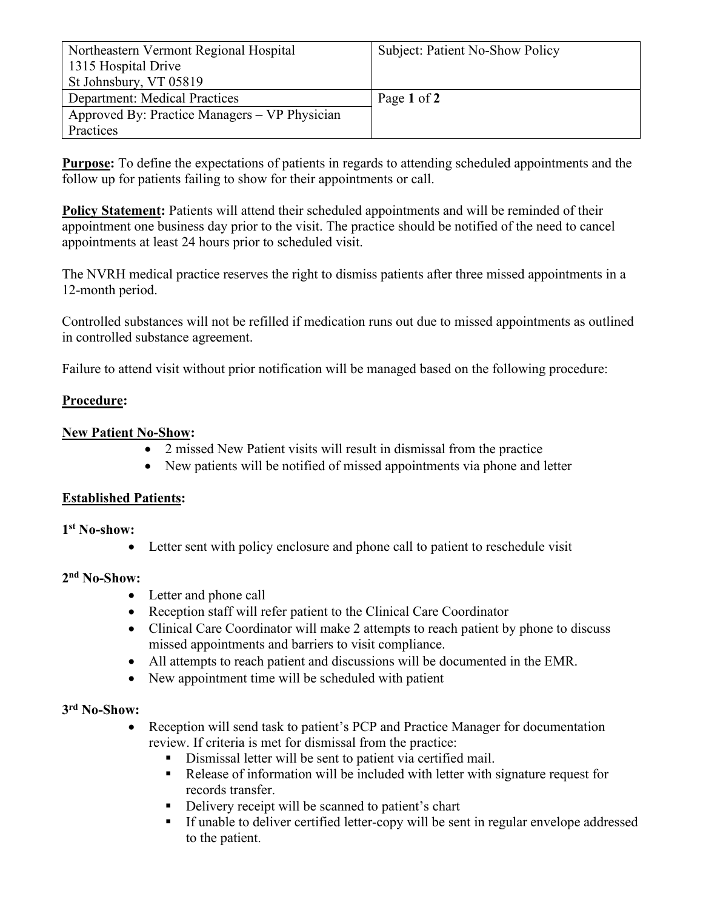| Northeastern Vermont Regional Hospital        | Subject: Patient No-Show Policy |
|-----------------------------------------------|---------------------------------|
| 1315 Hospital Drive                           |                                 |
| St Johnsbury, VT 05819                        |                                 |
| <b>Department:</b> Medical Practices          | Page 1 of 2                     |
| Approved By: Practice Managers – VP Physician |                                 |
| Practices                                     |                                 |

**Purpose:** To define the expectations of patients in regards to attending scheduled appointments and the follow up for patients failing to show for their appointments or call.

**Policy Statement:** Patients will attend their scheduled appointments and will be reminded of their appointment one business day prior to the visit. The practice should be notified of the need to cancel appointments at least 24 hours prior to scheduled visit.

The NVRH medical practice reserves the right to dismiss patients after three missed appointments in a 12-month period.

Controlled substances will not be refilled if medication runs out due to missed appointments as outlined in controlled substance agreement.

Failure to attend visit without prior notification will be managed based on the following procedure:

## **Procedure:**

# **New Patient No-Show:**

- 2 missed New Patient visits will result in dismissal from the practice
- New patients will be notified of missed appointments via phone and letter

## **Established Patients:**

# **1 st No-show:**

• Letter sent with policy enclosure and phone call to patient to reschedule visit

# **2 nd No-Show:**

- Letter and phone call
- Reception staff will refer patient to the Clinical Care Coordinator
- Clinical Care Coordinator will make 2 attempts to reach patient by phone to discuss missed appointments and barriers to visit compliance.
- All attempts to reach patient and discussions will be documented in the EMR.
- New appointment time will be scheduled with patient

# **3 rd No-Show:**

- Reception will send task to patient's PCP and Practice Manager for documentation review. If criteria is met for dismissal from the practice:
	- Dismissal letter will be sent to patient via certified mail.
	- Release of information will be included with letter with signature request for records transfer.
	- Delivery receipt will be scanned to patient's chart
	- If unable to deliver certified letter-copy will be sent in regular envelope addressed to the patient.